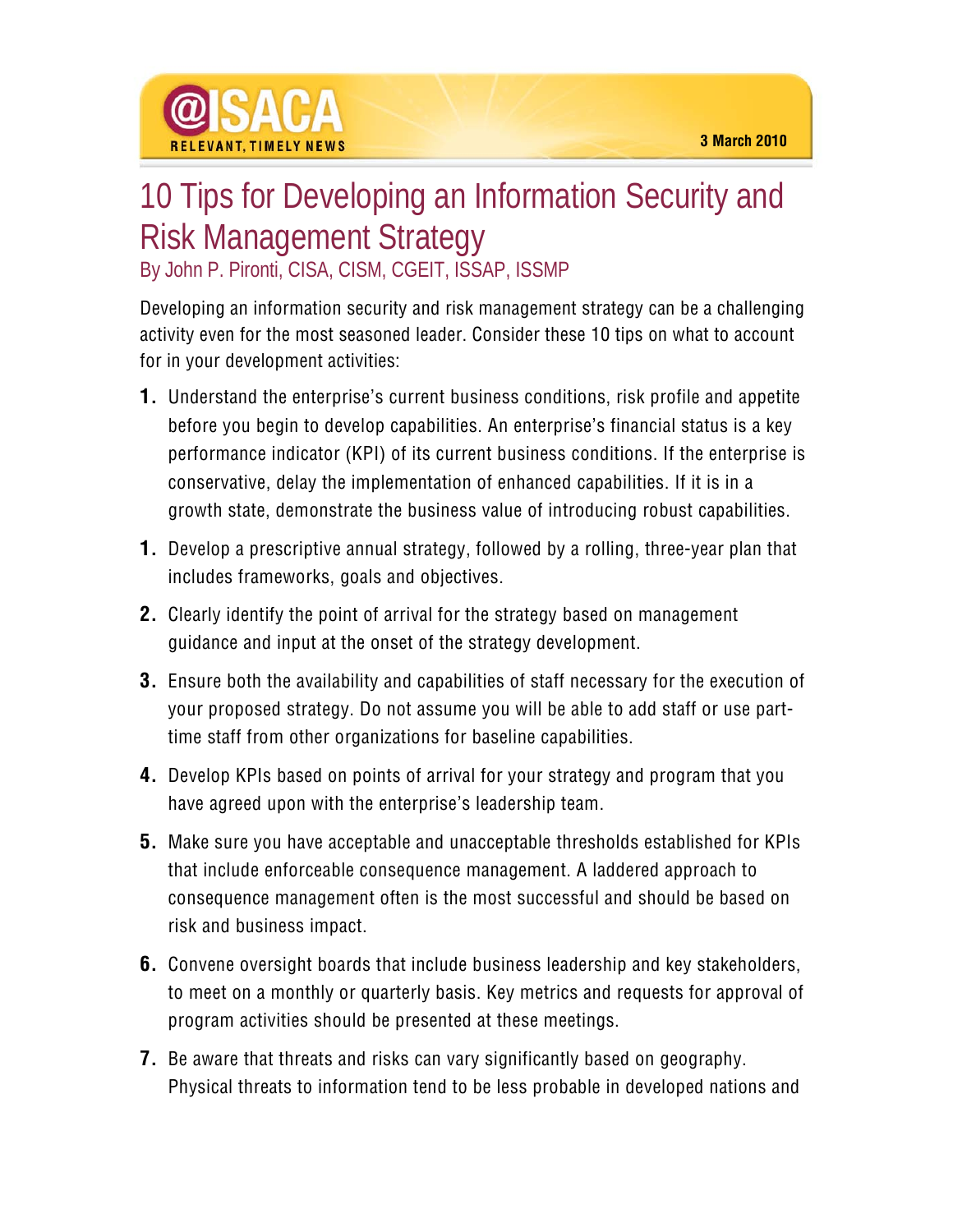

## 10 Tips for Developing an Information Security and Risk Management Strategy

By John P. Pironti, CISA, CISM, CGEIT, ISSAP, ISSMP

Developing an information security and risk management strategy can be a challenging activity even for the most seasoned leader. Consider these 10 tips on what to account for in your development activities:

- **1.** Understand the enterprise's current business conditions, risk profile and appetite before you begin to develop capabilities. An enterprise's financial status is a key performance indicator (KPI) of its current business conditions. If the enterprise is conservative, delay the implementation of enhanced capabilities. If it is in a growth state, demonstrate the business value of introducing robust capabilities.
- **1.** Develop a prescriptive annual strategy, followed by a rolling, three-year plan that includes frameworks, goals and objectives.
- **2.** Clearly identify the point of arrival for the strategy based on management guidance and input at the onset of the strategy development.
- **3.** Ensure both the availability and capabilities of staff necessary for the execution of your proposed strategy. Do not assume you will be able to add staff or use parttime staff from other organizations for baseline capabilities.
- **4.** Develop KPIs based on points of arrival for your strategy and program that you have agreed upon with the enterprise's leadership team.
- **5.** Make sure you have acceptable and unacceptable thresholds established for KPIs that include enforceable consequence management. A laddered approach to consequence management often is the most successful and should be based on risk and business impact.
- **6.** Convene oversight boards that include business leadership and key stakeholders, to meet on a monthly or quarterly basis. Key metrics and requests for approval of program activities should be presented at these meetings.
- **7.** Be aware that threats and risks can vary significantly based on geography. Physical threats to information tend to be less probable in developed nations and